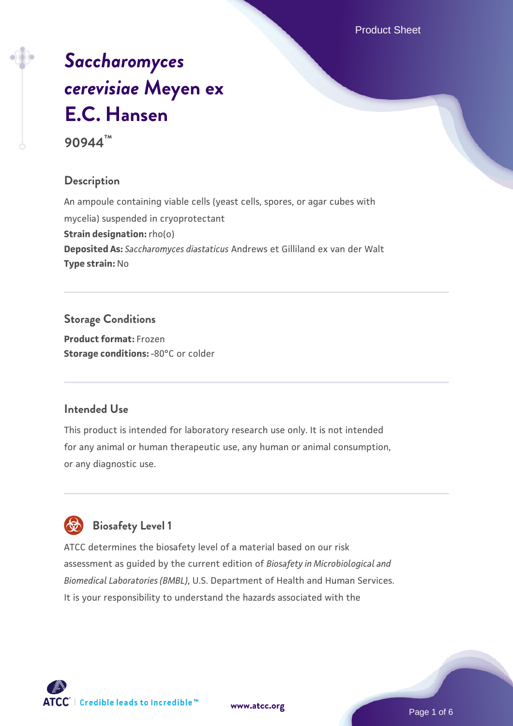Product Sheet

# *[Saccharomyces](https://www.atcc.org/products/90944) [cerevisiae](https://www.atcc.org/products/90944)* **[Meyen ex](https://www.atcc.org/products/90944) [E.C. Hansen](https://www.atcc.org/products/90944)**

**90944™**

## **Description**

An ampoule containing viable cells (yeast cells, spores, or agar cubes with mycelia) suspended in cryoprotectant **Strain designation:** rho(o) **Deposited As:** *Saccharomyces diastaticus* Andrews et Gilliland ex van der Walt **Type strain:** No

**Storage Conditions Product format:** Frozen **Storage conditions: -80°C or colder** 

## **Intended Use**

This product is intended for laboratory research use only. It is not intended for any animal or human therapeutic use, any human or animal consumption, or any diagnostic use.



## **Biosafety Level 1**

ATCC determines the biosafety level of a material based on our risk assessment as guided by the current edition of *Biosafety in Microbiological and Biomedical Laboratories (BMBL)*, U.S. Department of Health and Human Services. It is your responsibility to understand the hazards associated with the

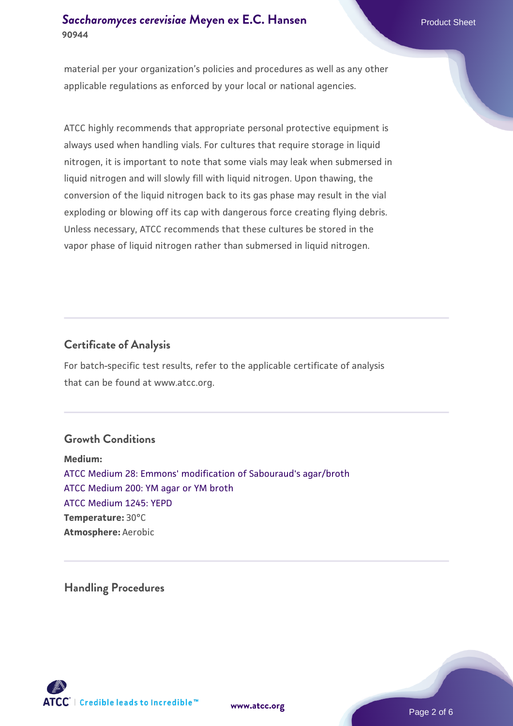## **[Saccharomyces cerevisiae](https://www.atcc.org/products/90944)** [Meyen ex E.C. Hansen](https://www.atcc.org/products/90944) **90944**

material per your organization's policies and procedures as well as any other applicable regulations as enforced by your local or national agencies.

ATCC highly recommends that appropriate personal protective equipment is always used when handling vials. For cultures that require storage in liquid nitrogen, it is important to note that some vials may leak when submersed in liquid nitrogen and will slowly fill with liquid nitrogen. Upon thawing, the conversion of the liquid nitrogen back to its gas phase may result in the vial exploding or blowing off its cap with dangerous force creating flying debris. Unless necessary, ATCC recommends that these cultures be stored in the vapor phase of liquid nitrogen rather than submersed in liquid nitrogen.

## **Certificate of Analysis**

For batch-specific test results, refer to the applicable certificate of analysis that can be found at www.atcc.org.

## **Growth Conditions**

**Medium:**  [ATCC Medium 28: Emmons' modification of Sabouraud's agar/broth](https://www.atcc.org/-/media/product-assets/documents/microbial-media-formulations/2/8/atcc-medium-28.pdf?rev=0da0c58cc2a343eeae735016b70809bb) [ATCC Medium 200: YM agar or YM broth](https://www.atcc.org/-/media/product-assets/documents/microbial-media-formulations/2/0/0/atcc-medium-200.pdf?rev=ac40fd74dc13433a809367b0b9da30fc) [ATCC Medium 1245: YEPD](https://www.atcc.org/-/media/product-assets/documents/microbial-media-formulations/1/2/4/5/atcc-medium-1245.pdf?rev=705ca55d1b6f490a808a965d5c072196) **Temperature:** 30°C **Atmosphere:** Aerobic

**Handling Procedures**



**[www.atcc.org](http://www.atcc.org)**

Page 2 of 6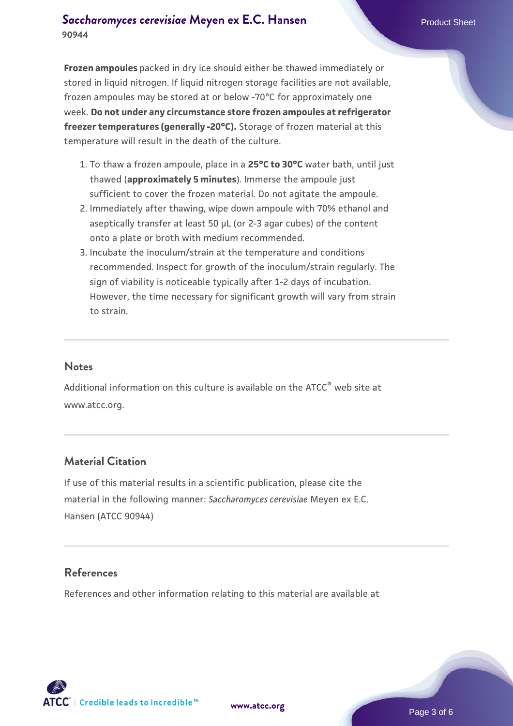## **[Saccharomyces cerevisiae](https://www.atcc.org/products/90944)** [Meyen ex E.C. Hansen](https://www.atcc.org/products/90944) **90944**

**Frozen ampoules** packed in dry ice should either be thawed immediately or stored in liquid nitrogen. If liquid nitrogen storage facilities are not available, frozen ampoules may be stored at or below -70°C for approximately one week. **Do not under any circumstance store frozen ampoules at refrigerator freezer temperatures (generally -20°C).** Storage of frozen material at this temperature will result in the death of the culture.

- 1. To thaw a frozen ampoule, place in a **25°C to 30°C** water bath, until just thawed (**approximately 5 minutes**). Immerse the ampoule just sufficient to cover the frozen material. Do not agitate the ampoule.
- 2. Immediately after thawing, wipe down ampoule with 70% ethanol and aseptically transfer at least 50 µL (or 2-3 agar cubes) of the content onto a plate or broth with medium recommended.
- Incubate the inoculum/strain at the temperature and conditions 3. recommended. Inspect for growth of the inoculum/strain regularly. The sign of viability is noticeable typically after 1-2 days of incubation. However, the time necessary for significant growth will vary from strain to strain.

#### **Notes**

Additional information on this culture is available on the ATCC<sup>®</sup> web site at www.atcc.org.

## **Material Citation**

If use of this material results in a scientific publication, please cite the material in the following manner: *Saccharomyces cerevisiae* Meyen ex E.C. Hansen (ATCC 90944)

## **References**

References and other information relating to this material are available at

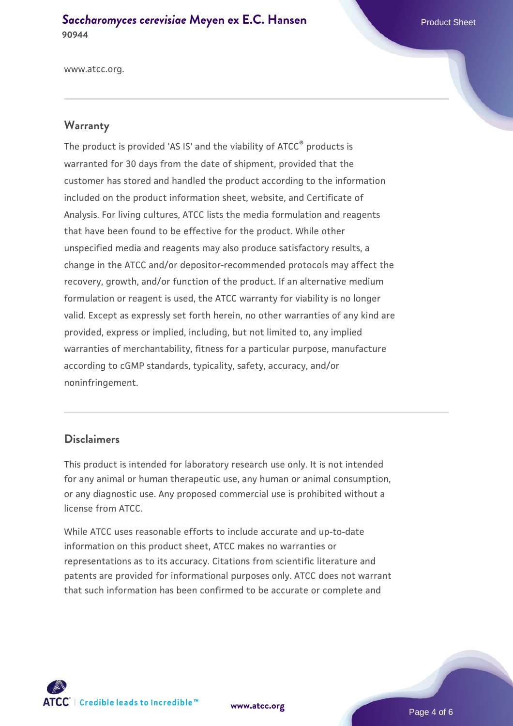**[Saccharomyces cerevisiae](https://www.atcc.org/products/90944)** [Meyen ex E.C. Hansen](https://www.atcc.org/products/90944) **90944**

www.atcc.org.

#### **Warranty**

The product is provided 'AS IS' and the viability of ATCC® products is warranted for 30 days from the date of shipment, provided that the customer has stored and handled the product according to the information included on the product information sheet, website, and Certificate of Analysis. For living cultures, ATCC lists the media formulation and reagents that have been found to be effective for the product. While other unspecified media and reagents may also produce satisfactory results, a change in the ATCC and/or depositor-recommended protocols may affect the recovery, growth, and/or function of the product. If an alternative medium formulation or reagent is used, the ATCC warranty for viability is no longer valid. Except as expressly set forth herein, no other warranties of any kind are provided, express or implied, including, but not limited to, any implied warranties of merchantability, fitness for a particular purpose, manufacture according to cGMP standards, typicality, safety, accuracy, and/or noninfringement.

#### **Disclaimers**

This product is intended for laboratory research use only. It is not intended for any animal or human therapeutic use, any human or animal consumption, or any diagnostic use. Any proposed commercial use is prohibited without a license from ATCC.

While ATCC uses reasonable efforts to include accurate and up-to-date information on this product sheet, ATCC makes no warranties or representations as to its accuracy. Citations from scientific literature and patents are provided for informational purposes only. ATCC does not warrant that such information has been confirmed to be accurate or complete and



**[www.atcc.org](http://www.atcc.org)**

Page 4 of 6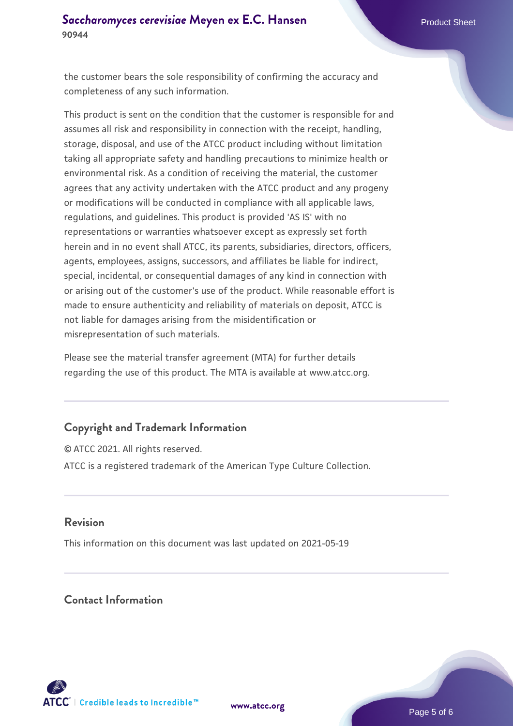the customer bears the sole responsibility of confirming the accuracy and completeness of any such information.

This product is sent on the condition that the customer is responsible for and assumes all risk and responsibility in connection with the receipt, handling, storage, disposal, and use of the ATCC product including without limitation taking all appropriate safety and handling precautions to minimize health or environmental risk. As a condition of receiving the material, the customer agrees that any activity undertaken with the ATCC product and any progeny or modifications will be conducted in compliance with all applicable laws, regulations, and guidelines. This product is provided 'AS IS' with no representations or warranties whatsoever except as expressly set forth herein and in no event shall ATCC, its parents, subsidiaries, directors, officers, agents, employees, assigns, successors, and affiliates be liable for indirect, special, incidental, or consequential damages of any kind in connection with or arising out of the customer's use of the product. While reasonable effort is made to ensure authenticity and reliability of materials on deposit, ATCC is not liable for damages arising from the misidentification or misrepresentation of such materials.

Please see the material transfer agreement (MTA) for further details regarding the use of this product. The MTA is available at www.atcc.org.

## **Copyright and Trademark Information**

© ATCC 2021. All rights reserved. ATCC is a registered trademark of the American Type Culture Collection.

#### **Revision**

This information on this document was last updated on 2021-05-19

## **Contact Information**



**[www.atcc.org](http://www.atcc.org)**